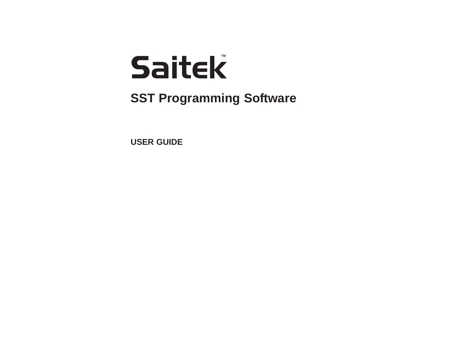# Saitek **TM**

**SST Programming Software**

**USER GUIDE**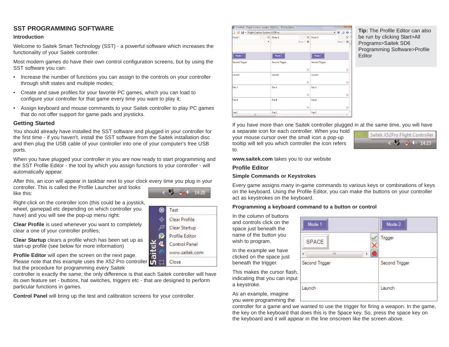#### **SST PROGRAMMING SOFTWARE**

#### **Introduction**

Welcome to Saitek Smart Technology (SST) - a powerful software which increases the functionality of your Saitek controller.

Most modern games do have their own control configuration screens, but by using the SST software you can:

- Increase the number of functions you can assign to the controls on your controller through shift states and multiple modes;
- Create and save profiles for your favorite PC games, which you can load to configure your controller for that game every time you want to play it;
- Assign keyboard and mouse commands to your Saitek controller to play PC games that do not offer support for game pads and joysticks.

#### **Getting Started**

You should already have installed the SST software and plugged in your controller for the first time - if you haven't, install the SST software from the Saitek installation disc and then plug the USB cable of your controller into one of your computer's free USB ports.

When you have plugged your controller in you are now ready to start programming and the SST Profile Editor - the tool by which you assign functions to your controller - will automatically appear.

After this, an icon will appear in taskbar next to your clock every time you plug in your controller. This is called the Profile Launcher and looks 5 5 0 14:20 like this:

Right-click on the controller icon (this could be a joystick, wheel, gamepad etc depending on which controller you have) and you will see the pop-up menu right:

**Clear Profile** is used whenever you want to completely clear a one of your controller profiles;

**Clear Startup** clears a profile which has been set up as start-up profile (see below for more information)

**Profile Editor** will open the screen on the next page. Please note that this example uses the X52 Pro controller but the procedure for programming every Saitek

controller is exactly the same; the only difference is that each Saitek controller will have its own feature set - buttons, hat switches, triggers etc - that are designed to perform particular functions in games.

**Control Panel** will bring up the test and calibration screens for your controller.

|  | Test           |
|--|----------------|
|  | Clear Profile  |
|  | Clear Startup  |
|  | Profile Editor |
|  | Control Panel  |
|  | www.saitek.com |
|  | Close          |

| Flight Control System (X52Pro) |                          |                |                                   |                | $\blacktriangledown$ |                                   |
|--------------------------------|--------------------------|----------------|-----------------------------------|----------------|----------------------|-----------------------------------|
| Mode 1                         | $\times$                 | Mode 2         | $\times$                          | Mode 3         |                      | $\times$ $\overline{\phantom{a}}$ |
|                                | $\overline{\phantom{a}}$ |                | Mode 1<br>$\overline{\mathbf{z}}$ |                | Mode 1               | $\overline{\mathbf{5}}$<br>E      |
| Mode 1                         |                          | Mode 2         |                                   | Mode 3         |                      |                                   |
| Second Trigger                 |                          | Second Trigger |                                   | Second Trigger |                      |                                   |
|                                |                          |                | $\overline{\phantom{a}}$          |                |                      | $\frac{\pi}{2}$                   |
| Launch                         |                          | Launch         |                                   | Launch         |                      |                                   |
|                                |                          |                | $\overline{5}$                    |                |                      | $\overline{5}$                    |
| Fire A                         |                          | Fire A         |                                   | Fire A         |                      |                                   |
|                                |                          |                | $\overline{5}$                    |                |                      | $\overline{5}$                    |
| Fire B                         |                          | Fire B         |                                   | Fire B         |                      |                                   |
|                                |                          |                | $\overline{5}$                    |                |                      | $\overline{\mathbf{5}}$           |
| Fire C                         |                          | Fire C         |                                   | Fire C         |                      |                                   |
|                                | Ш                        |                |                                   |                |                      | k                                 |

**Tip:** The Profile Editor can also be run by clicking Start>All Programs>Saitek SD6 Programming Software>Profile Editor

If you have more than one Saitek controller plugged in at the same time, you will have

a separate icon for each controller. When you hold your mouse cursor over the small icon a pop-up tooltip will tell you which controller the icon refers to.



Mode 2

Second Trigger

Trigger

Launch

**www.saitek.com** takes you to our website

#### **Profile Editor**

#### **Simple Commands or Keystrokes**

Every game assigns many in-game commands to various keys or combinations of keys on the keyboard. Using the Profile Editor, you can make the buttons on your controller act as keystrokes on the keyboard.

m

#### **Programming a keyboard command to a button or control**

Mode 1

SPACE

Second Trigger

Launch

In the column of buttons and controls click on the space just beneath the name of the button you wish to program.

In the example we have clicked on the space just beneath the trigger.

This makes the cursor flash, indicating that you can input a keystroke.

As an example, imagine you were programming the

controller for a game and we wanted to use the trigger for firing a weapon. In the game, the key on the keyboard that does this is the Space key. So, press the space key on the keyboard and it will appear in the line onscreen like the screen above.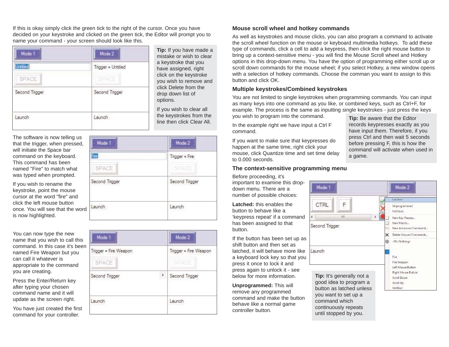If this is okay simply click the green tick to the right of the cursor. Once you have decided on your keystroke and clicked on the green tick, the Editor will prompt you to name your command - your screen should look like this.

| Mode 1                   | Mode 2                      |  |
|--------------------------|-----------------------------|--|
| <b>Untitled</b><br>SPACE | Trigger = Untitled<br>SPACE |  |
| Second Trigger           | Second Trigger              |  |
| Launch                   | Launch                      |  |

**Tip:** If you have made a ake or wish to clear vstroke that you e assigned, right on the keystroke wish to remove and Delete from the down list of ons.

ou wish to clear all keystrokes from the then click Clear All.

| The software is now telling us  |
|---------------------------------|
| that the trigger, when pressed, |
| will initiate the Space bar     |
| command on the keyboard.        |
| This command has been           |
| named "Fire" to match what      |
| was typed when prompted.        |

If you wish to rename the keystroke, point the mouse cursor at the word "fire" and click the left mouse button once. You will see that the word is now highlighted.

You can now type the new name that you wish to call this command. In this case it's been named Fire Weapon but you can call it whatever is appropriate to the command you are creating.

Press the Enter/Return key after typing your chosen command name and it will update as the screen right.

You have just created the first command for your controller.

| Mode 2           |  |
|------------------|--|
| $Trigger = Fire$ |  |
| SPACE            |  |
| Second Trigger   |  |
| Launch           |  |
|                  |  |

| Mode 1                         |    | Mode 2                         |  |
|--------------------------------|----|--------------------------------|--|
| Trigger = Fire Weapon<br>SPACE |    | Trigger = Fire Weapon<br>SPACE |  |
| Second Trigger                 | Þ. | Second Trigger                 |  |
| Launch                         |    | Launch                         |  |

#### **Mouse scroll wheel and hotkey commands**

As well as keystrokes and mouse clicks, you can also program a command to activate the scroll wheel function on the mouse or keyboard multimedia hotkeys. To add these type of commands, click a cell to add a keypress, then click the right mouse button to bring up a context-sensitive menu - you will find the Mouse Scroll wheel and Hotkey options in this drop-down menu. You have the option of programming either scroll up or scroll down commands for the mouse wheel; if you select Hotkey, a new window opens with a selection of hotkey commands. Choose the comman you want to assign to this button and click OK.

#### **Multiple keystrokes/Combined keystrokes**

You are not limited to single keystrokes when programming commands. You can input as many keys into one command as you like, or combined keys, such as Ctrl+F, for example. The process is the same as inputting single keystrokes - just press the keys you wish to program into the command.

In the example right we have input a Ctrl F command.

If you want to make sure that keypresses do happen at the same time, right click your mouse, click Quantize time and set time delay to 0.000 seconds.

#### **The context-sensitive programming menu**

Before proceeding, it's important to examine this dropdown menu. There are a number of possible choices:

**Latched:** this enables the button to behave like a 'keypress repeat' if a command has been assigned to that button.

If the button has been set up as shift button and then set as latched, it will behave more like a keyboard lock key so that you press it once to lock it and press again to unlock it - see below for more information.

**Unprogrammed:** This will remove any programmed command and make the button behave like a normal game controller button.

**Tip:** Be aware that the Editor records keypresses exactly as you have input them. Therefore, if you press Ctrl and then wait 5 seconds before pressing F, this is how the command will activate when used in a game.

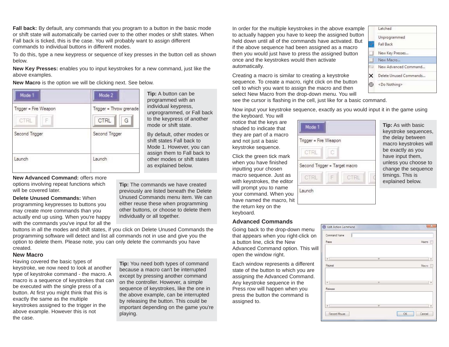**Fall back:** By default, any commands that you program to a button in the basic mode or shift state will automatically be carried over to the other modes or shift states. When Fall back is ticked, this is the case. You will probably want to assign different commands to individual buttons in different modes.

To do this, type a new keypress or sequence of key presses in the button cell as shown below.

**New Key Presses:** enables you to input keystrokes for a new command, just like the above examples.

**New Macro** is the option we will be clicking next. See below.



**Tip:** A button can be programmed with an individual keypress, unprogrammed, or Fall back to the keypress of another mode or shift state.

By default, other modes or shift states Fall back to Mode 1. However, you can assign them to Fall back to other modes or shift states as explained below.

**New Advanced Command:** offers more options involving repeat functions which

will be covered later.

**Delete Unused Commands:** When programming keypresses to buttons you may create more commands than you actually end up using. When you're happy with the commands you've input for all the **Tip:** The commands we have created previously are listed beneath the Delete Unused Commands menu item. We can either reuse these when programming other buttons, or choose to delete them individually or all together.

buttons in all the modes and shift states, if you click on Delete Unused Commands the programming software will detect and list all commands not in use and give you the option to delete them. Please note, you can only delete the commands you have created.

#### **New Macro**

Having covered the basic types of keystroke, we now need to look at another type of keystroke command - the macro. A macro is a sequence of keystrokes that can be executed with the single press of a button. At first you might think that this is exactly the same as the multiple keystrokes assigned to the trigger in the above example. However this is not the case.

**Tip:** You need both types of command because a macro can't be interrupted except by pressing another command on the controller. However, a simple sequence of keystrokes, like the one in the above example, can be interrupted by releasing the button. This could be important depending on the game you're playing.

In order for the multiple keystrokes in the above example to actually happen you have to keep the assigned button held down until all of the commands have activated. But if the above sequence had been assigned as a macro then you would just have to press the assigned button once and the keystrokes would then activate automatically.

Creating a macro is similar to creating a keystroke sequence. To create a macro, right click on the button cell to which you want to assign the macro and then select New Macro from the drop-down menu. You will



see the cursor is flashing in the cell, just like for a basic command.

Now input your keystroke sequence, exactly as you would input it in the game using

the keyboard. You will notice that the keys are shaded to indicate that they are part of a macro and not just a basic keystroke sequence.

Click the green tick mark when you have finished inputting your chosen macro sequence. Just as with keystrokes, the editor will prompt you to name your command. When you have named the macro, hit the return key on the keyboard.

#### **Advanced Commands**

Going back to the drop-down menu that appears when you right-click on a button line, click the New Advanced Command option. This will open the window right.

Each window represents a different state of the button to which you are assigning the Advanced Command. Any keystroke sequence in the Press row will happen when you press the button the command is assigned to.



**Tip:** As with basic keystroke sequences, the delay between macro keystrokes will be exactly as you have input them, unless you choose to change the sequence timings. This is explained below.

| Command Name |   |              |
|--------------|---|--------------|
| Press        |   | Macro        |
| $\epsilon$   | m |              |
| Repeat       |   | Macro        |
| $\leftarrow$ | m |              |
| Release      |   |              |
| $\epsilon$   | m |              |
| Record Mouse |   | Cancel<br>OK |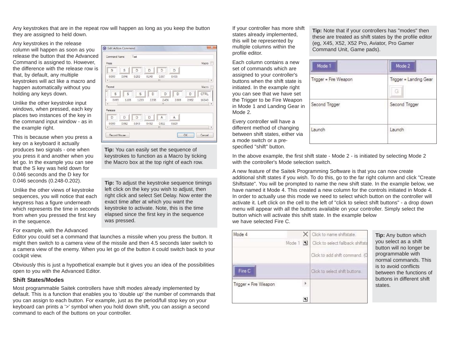Any keystrokes that are in the repeat row will happen as long as you keep the button they are assigned to held down.

60 Edit Action Command

Command Name

Test

Any keystrokes in the release column will happen as soon as you release the button that the Advanced Command is assigned to. However, the difference with the release row is that, by default, any multiple keystrokes will act like a macro and happen automatically without you holding any keys down.

Unlike the other keystroke input windows, when pressed, each key places two instances of the key in the command input window - as in the example right.

This is because when you press a key on a keyboard it actually produces two signals - one when you press it and another when you let go. In the example you can see that the S key was held down for 0.046 seconds and the D key for 0.046 seconds (0.248-0.202).

Unlike the other views of keystroke sequences, you will notice that each keypress has a figure underneath which represents the time in seconds from when you pressed the first key in the sequence.

For example, with the Advanced

Editor you could set a command that launches a missile when you press the button. It might then switch to a camera view of the missile and then 4.5 seconds later switch to a camera view of the enemy. When you let go of the button it could switch back to your cockpit view.

Obviously this is just a hypothetical example but it gives you an idea of the possibilities open to you with the Advanced Editor.

#### **Shift States/Modes**

Most programmable Saitek controllers have shift modes already implemented by default. This is a function that enables you to 'double up' the number of commands that you can assign to each button. For example, just as the period/full stop key on your keyboard can prints a '>' symbol when you hold down shift, you can assign a second command to each of the buttons on your controller.

If your controller has more shift states already implemented, this will be represented by multiple columns within the profile editor.

Each column contains a new set of commands which are assigned to your controller's buttons when the shift state is initiated. In the example right you can see that we have set the Trigger to be Fire Weapon in Mode 1 and Landing Gear in Mode 2.

Every controller will have a different method of changing between shift states, either via a mode switch or a prespecified "shift" button.

**Tip:** Note that if your controllers has "modes" then these are treated as shift states by the profile editor (eg, X45, X52, X52 Pro, Aviator, Pro Gamer Command Unit, Game pads).

| Mode 1                | Mode 2                      |  |
|-----------------------|-----------------------------|--|
| Trigger = Fire Weapon | Trigger = Landing Gear<br>G |  |
| Second Trigger        | Second Trigger              |  |
| Launch                | Launch                      |  |

In the above example, the first shift state - Mode 2 - is initiated by selecting Mode 2 with the controller's Mode selection switch.

A new feature of the Saitek Programming Software is that you can now create additional shift states if you wish. To do this, go to the far right column and click "Create Shiftstate". You will be prompted to name the new shift state. In the example below, we have named it Mode 4. This created a new column for the controls initiated in Mode 4. In order to actually use this mode we need to select which button on the controller will activate it. Left click on the cell to the left of "click to select shift buttons" - a drop down menu will appear with all the buttons available on your controller. Simply select the button which will activate this shift state. In the example below we have selected Fire C.

| Mode 4                |        |         | Click to name shiftstate.         |
|-----------------------|--------|---------|-----------------------------------|
|                       | Mode 1 | $\vert$ | Click to select fallback shiftsta |
|                       |        |         | Click to add shift command. (O    |
| Fire C                |        |         | Click to select shift buttons.    |
| Trigger = Fire Weapon |        |         |                                   |
|                       |        | 5       |                                   |

**p:** Any button which you select as a shift button will no longer be ogrammable with ormal commands. This to avoid conflicts etween the functions of buttons in different shift ates.

Press Macro |  $S$  D  $D$  $D$  $\overline{\mathbf{s}}$  $\mathsf D$ 0.000  $0.202$ 0.248 0.357 0.046 0.435  $\overline{\phantom{a}}$ Repeat Macro  $\mathsf{s}$  $D$  $\mathsf{D}$ CTRL  $\mathbb S$  $\mathbb{S}$  $\mathsf D$  $\mathsf D$ 2.358 2,436 2.889 2.982 0.093 1.108 1.233 16,040  $\overline{\phantom{a}}$ Release  $D$  $D$  $\mathsf A$  $\overline{D}$  $\mathsf D$  $A$ 0.000  $0.062$ 0.343  $0.811$ 0.452 0.920 Record Mouse OK Cancel

**Tip:** You can easily set the sequence of keystrokes to function as a Macro by ticking the Macro box at the top right of each row.

**Tip:** To adjust the keystroke sequence timings left click on the key you wish to adjust, then right click and select Set Delay. Now enter the exact time after at which you want the keystroke to activate. Note, this is the time elapsed since the first key in the sequence was pressed.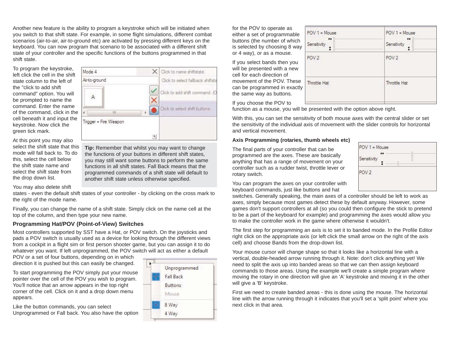Another new feature is the ability to program a keystroke which will be initiated when you switch to that shift state. For example, in some flight simulations, different combat scenarios (air-to-air, air-to-ground etc) are activated by pressing different keys on the keyboard. You can now program that scenario to be associated with a different shift state of your controller and the specific functions of the buttons programmed in that shift state.

 $\overline{m}$ 

Mode 4

Air-to-ground

A

To program the keystroke, left click the cell in the shift state column to the left of the "click to add shift command" option. You will be prompted to name the command. Enter the name of the command, click in the cell beneath it and input the keystroke. Now click the green tick mark.

At this point you may also select the shift state that this mode will fall back to. To do this, select the cell below the shift state name and select the shift state from the drop down list.

Trigger = Fire Weapon  $\overline{\eta_j}$ **Tip:** Remember that whilst you may want to change the functions of your buttons in different shift states, you may still want some buttons to perform the same functions in all shift states. Fall Back means that the programmed commands of a shift state will default to

 $\mathbf{F}$ 

another shift state unless otherwise specified.

You may also delete shift

states - even the default shift states of your controller - by clicking on the cross mark to the right of the mode name.

Finally, you can change the name of a shift state. Simply click on the name cell at the top of the column, and then type your new name.

#### **Programming Hat/POV (Point-of-View) Switches**

Most controllers supported by SST have a Hat, or POV switch. On the joysticks and pads a POV switch is usually used as a device for looking through the different views from a cockpit in a flight sim or first person shooter game, but you can assign it to do whatever you want. If left unprogrammed, the POV switch will act as either a default

POV or a set of four buttons, depending on in which direction it is pushed but this can easily be changed.

To start programming the POV simply put your mouse pointer over the cell of the POV you wish to program. You'll notice that an arrow appears in the top right corner of the cell. Click on it and a drop down menu appears.

Like the button commands, you can select Unprogrammed or Fall back. You also have the option



 $\times$  Click to name shiftstate.

Click to select fallback shiftsta

Click to add shift command. (C

Click to select shift buttons.

for the POV to operate as either a set of programmable buttons (the number of which is selected by choosing 8 way or 4 way), or as a mouse.

If you select bands then you will be presented with a new cell for each direction of movement of the POV. These can be programmed in exactly the same way as buttons.

| $POV1 = Mouse$<br>$\leftrightarrow$ | $POV1 = Mouse$<br>$\leftrightarrow$ |
|-------------------------------------|-------------------------------------|
| Sensitivity<br>ţ                    | Sensitivity                         |
| POV <sub>2</sub>                    | POV <sub>2</sub>                    |
| Throttle Hat                        | Throttle Hat                        |
|                                     |                                     |

If you choose the POV to

function as a mouse, you will be presented with the option above right.

With this, you can set the sensitivity of both mouse axes with the central slider or set the sensitivity of the individual axis of movement with the slider controls for horizontal and vertical movement.

#### **Axis Programming (rotaries, thumb wheels etc)**

The final parts of your controller that can be programmed are the axes. These are basically anything that has a range of movement on your controller such as a rudder twist, throttle lever or rotary switch.



You can program the axes on your controller with keyboard commands, just like buttons and hat

switches. Generally speaking, the main axes of a controller should be left to work as axes, simply because most games detect these by default anyway. However, some games don't support controllers at all (so you could then configure the stick to pretend to be a part of the keyboard for example) and programming the axes would allow you to make the controller work in the game where otherwise it wouldn't.

The first step for programming an axis is to set it to banded mode. In the Profile Editor right click on the appropriate axis (or left click the small arrow on the right of the axis cell) and choose Bands from the drop-down list.

Your mouse cursor will change shape so that it looks like a horizontal line with a vertical, double-headed arrow running through it. Note: don't click anything yet! We need to split the axis up into banded areas so that we can then assign keyboard commands to those areas. Using the example we'll create a simple program where moving the rotary in one direction will give an 'A' keystroke and moving it in the other will give a 'B' keystroke.

First we need to create banded areas - this is done using the mouse. The horizontal line with the arrow running through it indicates that you'll set a 'split point' where you next click in that area.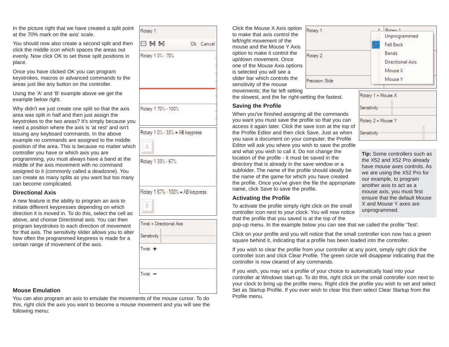In the picture right that we have created a split point at the 70% mark on the axis' scale.

You should now also create a second split and then click the middle icon which spaces the areas out evenly. Now click OK to set those split positions in place.

Once you have clicked OK you can program keystrokes, macros or advanced commands to the areas just like any button on the controller.

Using the 'A' and 'B' example above we get the example below right.

Why didn't we just create one split so that the axis area was split in half and then just assign the keystrokes to the two areas? It's simply because you need a position where the axis is 'at rest' and isn't issuing any keyboard commands. In the above example no commands are assigned to the middle position of the area. This is because no matter which controller you have or which axis you are programming, you must always have a band at the middle of the axis movement with no command assigned to it (commonly called a deadzone). You can create as many splits as you want but too many can become complicated.

#### **Directional Axis**

A new feature is the ability to program an axis to initiate different keypresses depending on which direction it is moved in. To do this, select the cell as above, and choose Directional axis. You can then program keystrokes to each direction of movement for that axis. The sensitivity slider allows you to alter how often the programmed keypress is made for a certain range of movement of the axis.



#### Rotary 1 33% - 67%

Rotary 1 67% - 100% = AB keypress



| Twist = Directional Axis |  |  |
|--------------------------|--|--|
| Sensitivity              |  |  |
| Twist +                  |  |  |
| wist                     |  |  |

#### **Mouse Emulation**

You can also program an axis to emulate the movements of the mouse cursor. To do this, right click the axis you want to become a mouse movement and you will see the following menu:

Click the Mouse X Axis option to make that axis control the left/right movement of the mouse and the Mouse Y Axis option to make it control the up/down movement. Once one of the Mouse Axis options is selected you will see a slider bar which controls the sensitivity of the mouse movements; the far left setting



#### **Saving the Profile**

When you've finished assigning all the commands you want you must save the profile so that you can access it again later. Click the save icon at the top of the Profile Editor and then click Save. Just as when you save a document on your computer, the Profile Editor will ask you where you wish to save the profile and what you wish to call it. Do not change the location of the profile - it must be saved in the directory that is already in the save window or a subfolder. The name of the profile should ideally be the name of the game for which you have created the profile. Once you've given the file the appropriate name, click Save to save the profile.

#### **Activating the Profile**

To activate the profile simply right click on the small controller icon next to your clock. You will now notice that the profile that you saved is at the top of the

pop-up menu. In the example below you can see that we called the profile 'Test'.

Click on your profile and you will notice that the small controller icon now has a green square behind it, indicating that a profile has been loaded into the controller.

If you wish to clear the profile from your controller at any point, simply right click the controller icon and click Clear Profile. The green circle will disappear indicating that the controller is now cleared of any commands.

If you wish, you may set a profile of your choice to automatically load into your controller at Windows start-up. To do this, right click on the small controller icon next to your clock to bring up the profile menu. Right click the profile you wish to set and select Set as Startup Profile. If you ever wish to clear this then select Clear Startup from the Profile menu.





**Tip:** Some controllers such as the X52 and X52 Pro already have mouse axes controls. As we are using the X52 Pro for our example, to program another axis to act as a mouse axis, you must first ensure that the default Mouse X and Mouse Y axes are unprogrammed.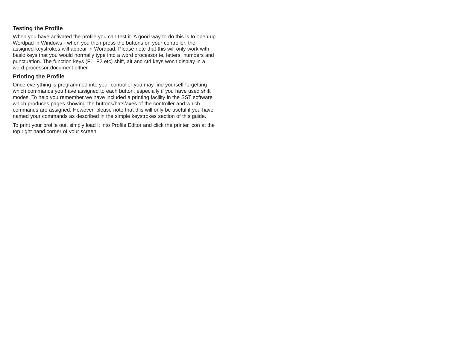#### **Testing the Profile**

When you have activated the profile you can test it. A good way to do this is to open up Wordpad in Windows - when you then press the buttons on your controller, the assigned keystrokes will appear in Wordpad. Please note that this will only work with basic keys that you would normally type into a word processor ie, letters, numbers and punctuation. The function keys (F1, F2 etc) shift, alt and ctrl keys won't display in a word processor document either.

#### **Printing the Profile**

Once everything is programmed into your controller you may find yourself forgetting which commands you have assigned to each button, especially if you have used shift modes. To help you remember we have included a printing facility in the SST software which produces pages showing the buttons/hats/axes of the controller and which commands are assigned. However, please note that this will only be useful if you have named your commands as described in the simple keystrokes section of this guide.

To print your profile out, simply load it into Profile Editor and click the printer icon at the top right hand corner of your screen.